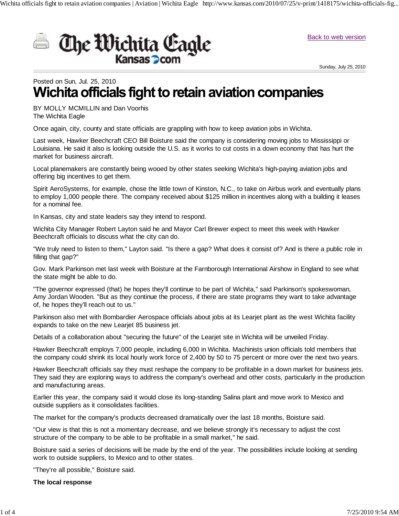

Sunday, July 25, 2010

# Posted on Sun, Jul. 25, 2010<br>**Wichita officials fight to retain aviation companies**

BY MOLLY MCMILLIN and Dan Voorhis The Wichita Eagle

Once again, city, county and state officials are grappling with how to keep aviation jobs in Wichita.

Last week, Hawker Beechcraft CEO Bill Boisture said the company is considering moving jobs to Mississippi or Louisiana. He said it also is looking outside the U.S. as it works to cut costs in a down economy that has hurt the market for business aircraft.

Wichita officials fight to retain aviation companies | Aviation | Wichita Eagle http://www.kansas.com/2010/07/25/v-print/1418175/wichita-officials-fig...

Local planemakers are constantly being wooed by other states seeking Wichita's high-paying aviation jobs and offering big incentives to get them.

Spirit AeroSystems, for example, chose the little town of Kinston, N.C., to take on Airbus work and eventually plans to employ 1,000 people there. The company received about \$125 million in incentives along with a building it leases for a nominal fee.

In Kansas, city and state leaders say they intend to respond.

Wichita City Manager Robert Layton said he and Mayor Carl Brewer expect to meet this week with Hawker Beechcraft officials to discuss what the city can do.

"We truly need to listen to them," Layton said. "Is there a gap? What does it consist of? And is there a public role in filling that gap?"

Gov. Mark Parkinson met last week with Boisture at the Farnborough International Airshow in England to see what the state might be able to do.

"The governor expressed (that) he hopes they'll continue to be part of Wichita," said Parkinson's spokeswoman, Amy Jordan Wooden. "But as they continue the process, if there are state programs they want to take advantage of, he hopes they'll reach out to us."

Parkinson also met with Bombardier Aerospace officials about jobs at its Learjet plant as the west Wichita facility expands to take on the new Learjet 85 business jet.

Details of a collaboration about "securing the future" of the Learjet site in Wichita will be unveiled Friday.

Hawker Beechcraft employs 7,000 people, including 6,000 in Wichita. Machinists union officials told members that the company could shrink its local hourly work force of 2,400 by 50 to 75 percent or more over the next two years.

Hawker Beechcraft officials say they must reshape the company to be profitable in a down market for business jets. They said they are exploring ways to address the company's overhead and other costs, particularly in the production and manufacturing areas.

Earlier this year, the company said it would close its long-standing Salina plant and move work to Mexico and outside suppliers as it consolidates facilities.

The market for the company's products decreased dramatically over the last 18 months, Boisture said.

"Our view is that this is not a momentary decrease, and we believe strongly it's necessary to adjust the cost structure of the company to be able to be profitable in a small market," he said.

Boisture said a series of decisions will be made by the end of the year. The possibilities include looking at sending work to outside suppliers, to Mexico and to other states.

"They're all possible," Boisture said.

**The local response**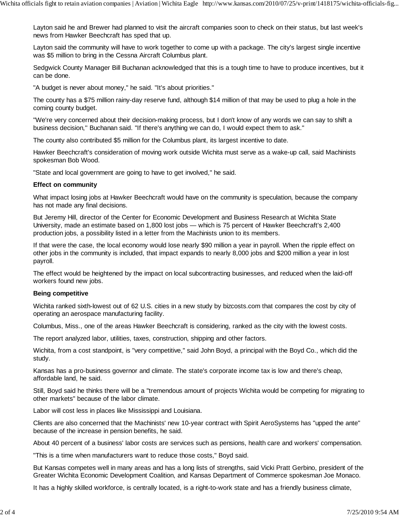Layton said he and Brewer had planned to visit the aircraft companies soon to check on their status, but last week's news from Hawker Beechcraft has sped that up.

Layton said the community will have to work together to come up with a package. The city's largest single incentive was \$5 million to bring in the Cessna Aircraft Columbus plant.

Sedgwick County Manager Bill Buchanan acknowledged that this is a tough time to have to produce incentives, but it can be done.

"A budget is never about money," he said. "It's about priorities."

The county has a \$75 million rainy-day reserve fund, although \$14 million of that may be used to plug a hole in the coming county budget.

"We're very concerned about their decision-making process, but I don't know of any words we can say to shift a business decision,'' Buchanan said. "If there's anything we can do, I would expect them to ask."

The county also contributed \$5 million for the Columbus plant, its largest incentive to date.

Hawker Beechcraft's consideration of moving work outside Wichita must serve as a wake-up call, said Machinists spokesman Bob Wood.

"State and local government are going to have to get involved," he said.

# **Effect on community**

What impact losing jobs at Hawker Beechcraft would have on the community is speculation, because the company has not made any final decisions.

But Jeremy Hill, director of the Center for Economic Development and Business Research at Wichita State University, made an estimate based on 1,800 lost jobs — which is 75 percent of Hawker Beechcraft's 2,400 production jobs, a possibility listed in a letter from the Machinists union to its members.

If that were the case, the local economy would lose nearly \$90 million a year in payroll. When the ripple effect on other jobs in the community is included, that impact expands to nearly 8,000 jobs and \$200 million a year in lost payroll.

The effect would be heightened by the impact on local subcontracting businesses, and reduced when the laid-off workers found new jobs.

### **Being competitive**

Wichita ranked sixth-lowest out of 62 U.S. cities in a new study by bizcosts.com that compares the cost by city of operating an aerospace manufacturing facility.

Columbus, Miss., one of the areas Hawker Beechcraft is considering, ranked as the city with the lowest costs.

The report analyzed labor, utilities, taxes, construction, shipping and other factors.

Wichita, from a cost standpoint, is "very competitive," said John Boyd, a principal with the Boyd Co., which did the study.

Kansas has a pro-business governor and climate. The state's corporate income tax is low and there's cheap, affordable land, he said.

Still, Boyd said he thinks there will be a "tremendous amount of projects Wichita would be competing for migrating to other markets" because of the labor climate.

Labor will cost less in places like Mississippi and Louisiana.

Clients are also concerned that the Machinists' new 10-year contract with Spirit AeroSystems has "upped the ante" because of the increase in pension benefits, he said.

About 40 percent of a business' labor costs are services such as pensions, health care and workers' compensation.

"This is a time when manufacturers want to reduce those costs," Boyd said.

But Kansas competes well in many areas and has a long lists of strengths, said Vicki Pratt Gerbino, president of the Greater Wichita Economic Development Coalition, and Kansas Department of Commerce spokesman Joe Monaco.

It has a highly skilled workforce, is centrally located, is a right-to-work state and has a friendly business climate,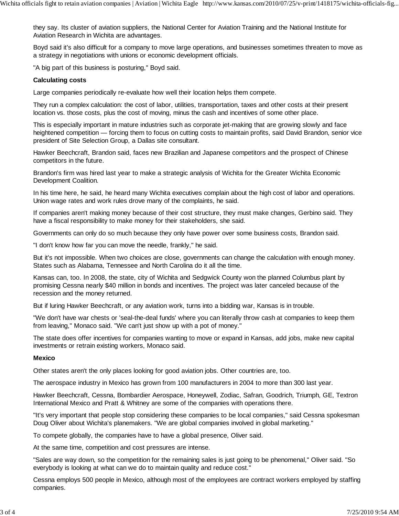they say. Its cluster of aviation suppliers, the National Center for Aviation Training and the National Institute for Aviation Research in Wichita are advantages.

Boyd said it's also difficult for a company to move large operations, and businesses sometimes threaten to move as a strategy in negotiations with unions or economic development officials.

"A big part of this business is posturing," Boyd said.

# **Calculating costs**

Large companies periodically re-evaluate how well their location helps them compete.

They run a complex calculation: the cost of labor, utilities, transportation, taxes and other costs at their present location vs. those costs, plus the cost of moving, minus the cash and incentives of some other place.

This is especially important in mature industries such as corporate jet-making that are growing slowly and face heightened competition — forcing them to focus on cutting costs to maintain profits, said David Brandon, senior vice president of Site Selection Group, a Dallas site consultant.

Hawker Beechcraft, Brandon said, faces new Brazilian and Japanese competitors and the prospect of Chinese competitors in the future.

Brandon's firm was hired last year to make a strategic analysis of Wichita for the Greater Wichita Economic Development Coalition.

In his time here, he said, he heard many Wichita executives complain about the high cost of labor and operations. Union wage rates and work rules drove many of the complaints, he said.

If companies aren't making money because of their cost structure, they must make changes, Gerbino said. They have a fiscal responsibility to make money for their stakeholders, she said.

Governments can only do so much because they only have power over some business costs, Brandon said.

"I don't know how far you can move the needle, frankly," he said.

But it's not impossible. When two choices are close, governments can change the calculation with enough money. States such as Alabama, Tennessee and North Carolina do it all the time.

Kansas can, too. In 2008, the state, city of Wichita and Sedgwick County won the planned Columbus plant by promising Cessna nearly \$40 million in bonds and incentives. The project was later canceled because of the recession and the money returned.

But if luring Hawker Beechcraft, or any aviation work, turns into a bidding war, Kansas is in trouble.

"We don't have war chests or 'seal-the-deal funds' where you can literally throw cash at companies to keep them from leaving," Monaco said. "We can't just show up with a pot of money."

The state does offer incentives for companies wanting to move or expand in Kansas, add jobs, make new capital investments or retrain existing workers, Monaco said.

### **Mexico**

Other states aren't the only places looking for good aviation jobs. Other countries are, too.

The aerospace industry in Mexico has grown from 100 manufacturers in 2004 to more than 300 last year.

Hawker Beechcraft, Cessna, Bombardier Aerospace, Honeywell, Zodiac, Safran, Goodrich, Triumph, GE, Textron International Mexico and Pratt & Whitney are some of the companies with operations there.

"It's very important that people stop considering these companies to be local companies," said Cessna spokesman Doug Oliver about Wichita's planemakers. "We are global companies involved in global marketing."

To compete globally, the companies have to have a global presence, Oliver said.

At the same time, competition and cost pressures are intense.

"Sales are way down, so the competition for the remaining sales is just going to be phenomenal," Oliver said. "So everybody is looking at what can we do to maintain quality and reduce cost."

Cessna employs 500 people in Mexico, although most of the employees are contract workers employed by staffing companies.